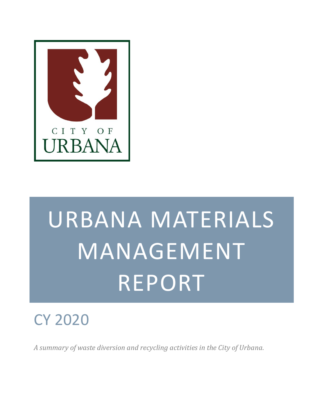

# URBANA MATERIALS MANAGEMENT REPORT

# CY 2020

*A summary of waste diversion and recycling activities in the City of Urbana.*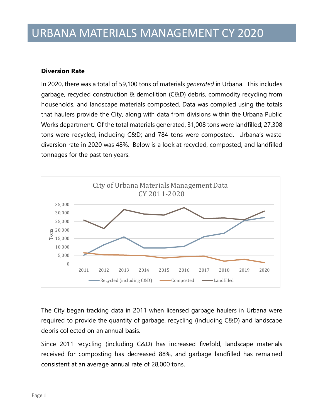#### **Diversion Rate**

In 2020, there was a total of 59,100 tons of materials *generated* in Urbana. This includes garbage, recycled construction & demolition (C&D) debris, commodity recycling from households, and landscape materials composted. Data was compiled using the totals that haulers provide the City, along with data from divisions within the Urbana Public Works department. Of the total materials generated, 31,008 tons were landfilled; 27,308 tons were recycled, including C&D; and 784 tons were composted. Urbana's waste diversion rate in 2020 was 48%. Below is a look at recycled, composted, and landfilled tonnages for the past ten years:



The City began tracking data in 2011 when licensed garbage haulers in Urbana were required to provide the quantity of garbage, recycling (including C&D) and landscape debris collected on an annual basis.

Since 2011 recycling (including C&D) has increased fivefold, landscape materials received for composting has decreased 88%, and garbage landfilled has remained consistent at an average annual rate of 28,000 tons.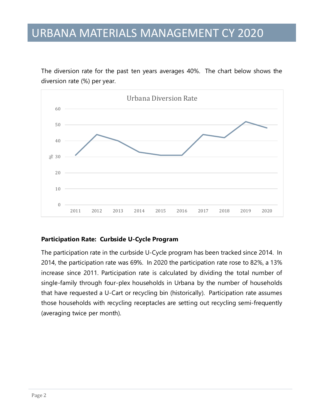The diversion rate for the past ten years averages 40%. The chart below shows the diversion rate (%) per year.



#### **Participation Rate: Curbside U-Cycle Program**

The participation rate in the curbside U-Cycle program has been tracked since 2014. In 2014, the participation rate was 69%. In 2020 the participation rate rose to 82%, a 13% increase since 2011. Participation rate is calculated by dividing the total number of single-family through four-plex households in Urbana by the number of households that have requested a U-Cart or recycling bin (historically). Participation rate assumes those households with recycling receptacles are setting out recycling semi-frequently (averaging twice per month).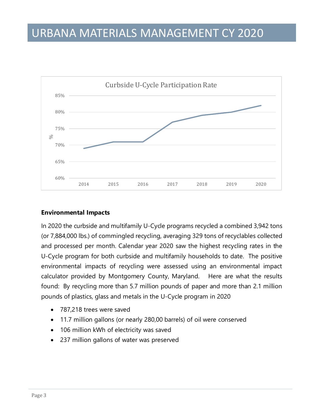

#### **Environmental Impacts**

In 2020 the curbside and multifamily U-Cycle programs recycled a combined 3,942 tons (or 7,884,000 lbs.) of commingled recycling, averaging 329 tons of recyclables collected and processed per month. Calendar year 2020 saw the highest recycling rates in the U-Cycle program for both curbside and multifamily households to date. The positive environmental impacts of recycling were assessed using an environmental impact calculator provided by Montgomery County, Maryland. Here are what the results found: By recycling more than 5.7 million pounds of paper and more than 2.1 million pounds of plastics, glass and metals in the U-Cycle program in 2020

- 787,218 trees were saved
- 11.7 million gallons (or nearly 280,00 barrels) of oil were conserved
- 106 million kWh of electricity was saved
- 237 million gallons of water was preserved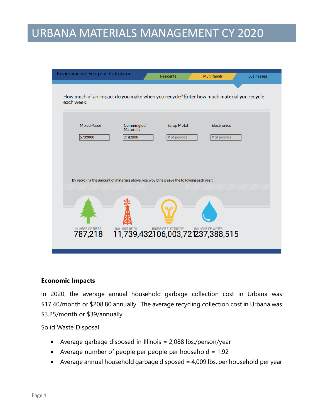| <b>Environmental Footprint Calculator</b>                                                             |                                    | <b>Residents</b>                                                                                    | Multi-family                      | <b>Businesses</b> |
|-------------------------------------------------------------------------------------------------------|------------------------------------|-----------------------------------------------------------------------------------------------------|-----------------------------------|-------------------|
| How much of an impact do you make when you recycle? Enter how much material you recycle<br>each week: |                                    |                                                                                                     |                                   |                   |
| <b>Mixed Paper</b><br>5702000                                                                         | Commingled<br>Materials<br>2182000 | <b>Scrap Metal</b><br># of pounds                                                                   | <b>Electronics</b><br># of pounds |                   |
| By recycling the amount of materials above, you would help save the following each year:              |                                    |                                                                                                     |                                   |                   |
|                                                                                                       |                                    |                                                                                                     |                                   |                   |
| NUMBER OF TREES<br>787,218                                                                            |                                    | <b>6ALLONS OF OIL AND HOURS OF ELECTRICITY GALLONS OF WATER</b><br>11,739,432106,003,721237,388,515 |                                   |                   |

#### **Economic Impacts**

In 2020, the average annual household garbage collection cost in Urbana was \$17.40/month or \$208.80 annually. The average recycling collection cost in Urbana was \$3.25/month or \$39/annually.

#### Solid Waste Disposal

- Average garbage disposed in Illinois = 2,088 lbs./person/year
- Average number of people per people per household = 1.92
- Average annual household garbage disposed = 4,009 lbs. per household per year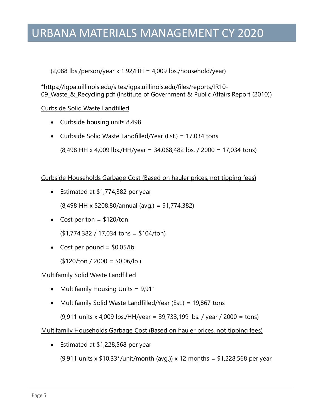$(2,088$  lbs./person/year x 1.92/HH = 4,009 lbs./household/year)

\*https://igpa.uillinois.edu/sites/igpa.uillinois.edu/files/reports/IR10- 09\_Waste\_&\_Recycling.pdf (Institute of Government & Public Affairs Report (2010))

#### Curbside Solid Waste Landfilled

- Curbside housing units 8,498
- Curbside Solid Waste Landfilled/Year (Est.) = 17,034 tons

(8,498 HH x 4,009 lbs./HH/year = 34,068,482 lbs. / 2000 = 17,034 tons)

Curbside Households Garbage Cost (Based on hauler prices, not tipping fees)

• Estimated at \$1,774,382 per year

(8,498 HH x \$208.80/annual (avg.) = \$1,774,382)

• Cost per ton  $=$  \$120/ton

(\$1,774,382 / 17,034 tons = \$104/ton)

• Cost per pound  $=$  \$0.05/lb.

 $($120/ton / 2000 = $0.06/lb.)$ 

Multifamily Solid Waste Landfilled

- Multifamily Housing Units = 9,911
- Multifamily Solid Waste Landfilled/Year (Est.) = 19,867 tons

(9,911 units x 4,009 lbs./HH/year = 39,733,199 lbs. / year / 2000 = tons)

Multifamily Households Garbage Cost (Based on hauler prices, not tipping fees)

• Estimated at \$1,228,568 per year

(9,911 units x \$10.33\*/unit/month (avg.)) x 12 months = \$1,228,568 per year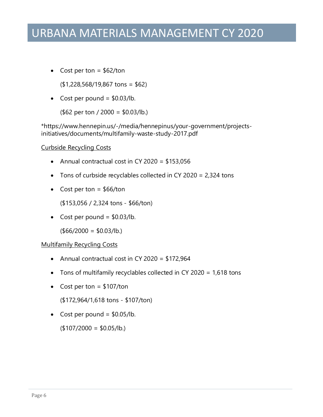• Cost per ton  $=$  \$62/ton

(\$1,228,568/19,867 tons = \$62)

• Cost per pound  $=$  \$0.03/lb.

(\$62 per ton / 2000 = \$0.03/lb.)

\*https://www.hennepin.us/-/media/hennepinus/your-government/projectsinitiatives/documents/multifamily-waste-study-2017.pdf

#### Curbside Recycling Costs

- Annual contractual cost in CY 2020 = \$153,056
- Tons of curbside recyclables collected in CY 2020 = 2,324 tons
- Cost per ton  $=$  \$66/ton

(\$153,056 / 2,324 tons - \$66/ton)

• Cost per pound  $=$  \$0.03/lb.

 $($66/2000 = $0.03/lb.)$ 

#### Multifamily Recycling Costs

- Annual contractual cost in CY 2020 = \$172,964
- Tons of multifamily recyclables collected in CY 2020 = 1,618 tons
- Cost per ton  $=$  \$107/ton

(\$172,964/1,618 tons - \$107/ton)

• Cost per pound  $=$  \$0.05/lb.

 $($107/2000 = $0.05/lb.)$